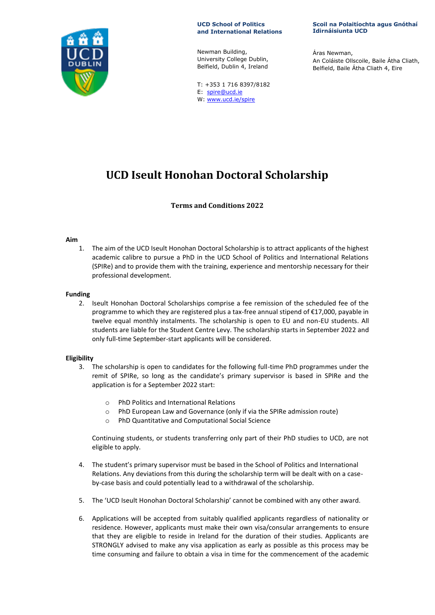

**UCD School of Politics and International Relations**

Newman Building, University College Dublin, Belfield, Dublin 4, Ireland

T: +353 1 716 8397/8182 E: spire@ucd.ie W: www.ucd.ie/spire

**Scoil na Polaitíochta agus Gnóthaí Idirnáisiunta UCD**

Áras Newman, An Coláiste Ollscoile, Baile Átha Cliath, Belfield, Baile Átha Cliath 4, Eire

# **UCD Iseult Honohan Doctoral Scholarship**

# **Terms and Conditions 2022**

### **Aim**

1. The aim of the UCD Iseult Honohan Doctoral Scholarship is to attract applicants of the highest academic calibre to pursue a PhD in the UCD School of Politics and International Relations (SPIRe) and to provide them with the training, experience and mentorship necessary for their professional development.

## **Funding**

2. Iseult Honohan Doctoral Scholarships comprise a fee remission of the scheduled fee of the programme to which they are registered plus a tax-free annual stipend of €17,000, payable in twelve equal monthly instalments. The scholarship is open to EU and non-EU students. All students are liable for the Student Centre Levy. The scholarship starts in September 2022 and only full-time September-start applicants will be considered.

## **Eligibility**

- 3. The scholarship is open to candidates for the following full-time PhD programmes under the remit of SPIRe, so long as the candidate's primary supervisor is based in SPIRe and the application is for a September 2022 start:
	- o PhD Politics and International Relations
	- o PhD European Law and Governance (only if via the SPIRe admission route)
	- o PhD Quantitative and Computational Social Science

Continuing students, or students transferring only part of their PhD studies to UCD, are not eligible to apply.

- 4. The student's primary supervisor must be based in the School of Politics and International Relations. Any deviations from this during the scholarship term will be dealt with on a caseby-case basis and could potentially lead to a withdrawal of the scholarship.
- 5. The 'UCD Iseult Honohan Doctoral Scholarship' cannot be combined with any other award.
- 6. Applications will be accepted from suitably qualified applicants regardless of nationality or residence. However, applicants must make their own visa/consular arrangements to ensure that they are eligible to reside in Ireland for the duration of their studies. Applicants are STRONGLY advised to make any visa application as early as possible as this process may be time consuming and failure to obtain a visa in time for the commencement of the academic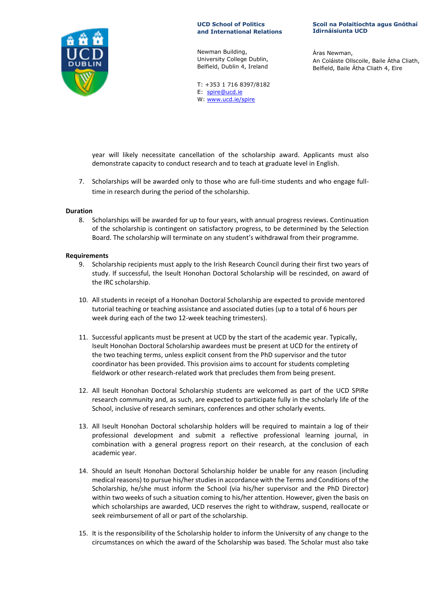

**UCD School of Politics and International Relations**

Newman Building, University College Dublin, Belfield, Dublin 4, Ireland

T: +353 1 716 8397/8182 E: spire@ucd.ie W: www.ucd.ie/spire

**Scoil na Polaitíochta agus Gnóthaí Idirnáisiunta UCD**

Áras Newman, An Coláiste Ollscoile, Baile Átha Cliath, Belfield, Baile Átha Cliath 4, Eire

year will likely necessitate cancellation of the scholarship award. Applicants must also demonstrate capacity to conduct research and to teach at graduate level in English.

7. Scholarships will be awarded only to those who are full-time students and who engage fulltime in research during the period of the scholarship.

### **Duration**

8. Scholarships will be awarded for up to four years, with annual progress reviews. Continuation of the scholarship is contingent on satisfactory progress, to be determined by the Selection Board. The scholarship will terminate on any student's withdrawal from their programme.

### **Requirements**

- 9. Scholarship recipients must apply to the Irish Research Council during their first two years of study. If successful, the Iseult Honohan Doctoral Scholarship will be rescinded, on award of the IRC scholarship.
- 10. All students in receipt of a Honohan Doctoral Scholarship are expected to provide mentored tutorial teaching or teaching assistance and associated duties (up to a total of 6 hours per week during each of the two 12-week teaching trimesters).
- 11. Successful applicants must be present at UCD by the start of the academic year. Typically, Iseult Honohan Doctoral Scholarship awardees must be present at UCD for the entirety of the two teaching terms, unless explicit consent from the PhD supervisor and the tutor coordinator has been provided. This provision aims to account for students completing fieldwork or other research-related work that precludes them from being present.
- 12. All Iseult Honohan Doctoral Scholarship students are welcomed as part of the UCD SPIRe research community and, as such, are expected to participate fully in the scholarly life of the School, inclusive of research seminars, conferences and other scholarly events.
- 13. All Iseult Honohan Doctoral scholarship holders will be required to maintain a log of their professional development and submit a reflective professional learning journal, in combination with a general progress report on their research, at the conclusion of each academic year.
- 14. Should an Iseult Honohan Doctoral Scholarship holder be unable for any reason (including medical reasons) to pursue his/her studies in accordance with the Terms and Conditions of the Scholarship, he/she must inform the School (via his/her supervisor and the PhD Director) within two weeks of such a situation coming to his/her attention. However, given the basis on which scholarships are awarded, UCD reserves the right to withdraw, suspend, reallocate or seek reimbursement of all or part of the scholarship.
- 15. It is the responsibility of the Scholarship holder to inform the University of any change to the circumstances on which the award of the Scholarship was based. The Scholar must also take